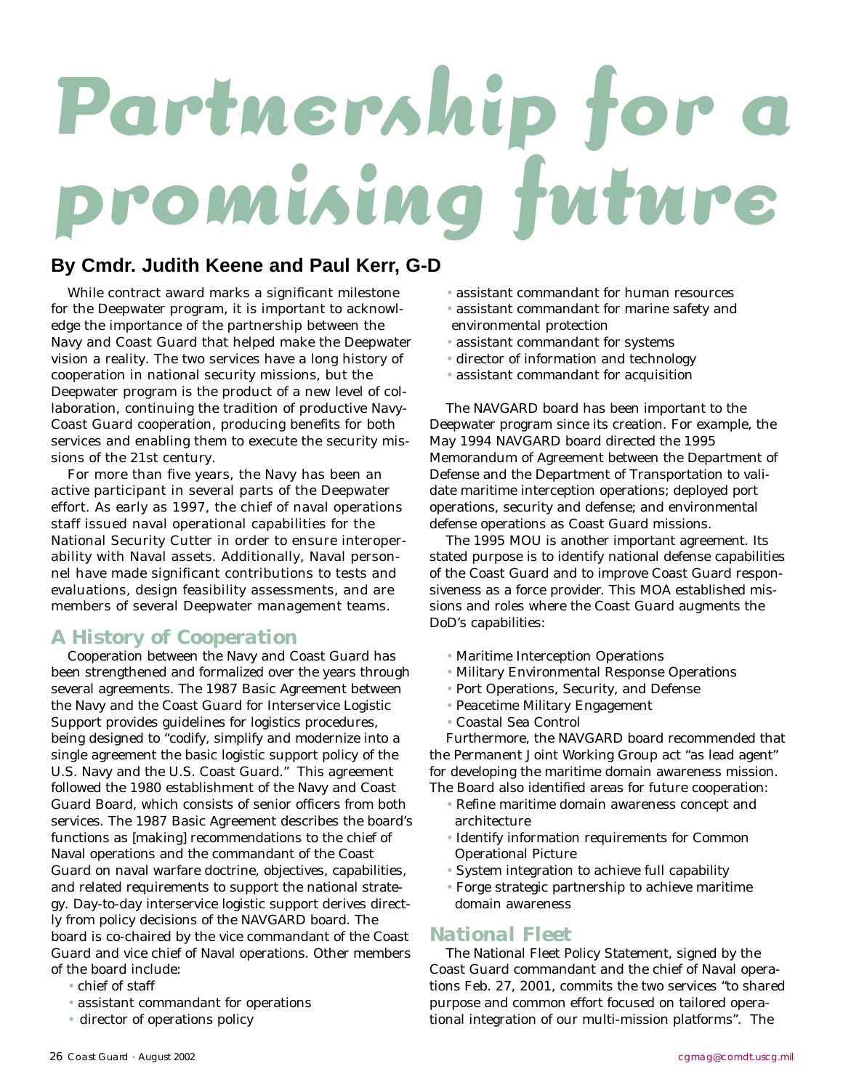# Partnership fe **promising future**

# **By Cmdr. Judith Keene and Paul Kerr, G-D**

While contract award marks a significant milestone for the Deepwater program, it is important to acknowledge the importance of the partnership between the Navy and Coast Guard that helped make the Deepwater vision a reality. The two services have a long history of cooperation in national security missions, but the Deepwater program is the product of a new level of collaboration, continuing the tradition of productive Navy-Coast Guard cooperation, producing benefits for both services and enabling them to execute the security missions of the 21st century.

For more than five years, the Navy has been an active participant in several parts of the Deepwater effort. As early as 1997, the chief of naval operations staff issued naval operational capabilities for the National Security Cutter in order to ensure interoperability with Naval assets. Additionally, Naval personnel have made significant contributions to tests and evaluations, design feasibility assessments, and are members of several Deepwater management teams.

### *A History of Cooperation*

Cooperation between the Navy and Coast Guard has been strengthened and formalized over the years through several agreements. The 1987 Basic Agreement between the Navy and the Coast Guard for Interservice Logistic Support provides guidelines for logistics procedures, being designed to "codify, simplify and modernize into a single agreement the basic logistic support policy of the U.S. Navy and the U.S. Coast Guard." This agreement followed the 1980 establishment of the Navy and Coast Guard Board, which consists of senior officers from both services. The 1987 Basic Agreement describes the board's functions as [making] recommendations to the chief of Naval operations and the commandant of the Coast Guard on naval warfare doctrine, objectives, capabilities, and related requirements to support the national strategy. Day-to-day interservice logistic support derives directly from policy decisions of the NAVGARD board. The board is co-chaired by the vice commandant of the Coast Guard and vice chief of Naval operations. Other members of the board include:

- chief of staff
- assistant commandant for operations
- director of operations policy
- assistant commandant for human resources
- assistant commandant for marine safety and environmental protection
- assistant commandant for systems
- director of information and technology
- assistant commandant for acquisition

The NAVGARD board has been important to the Deepwater program since its creation. For example, the May 1994 NAVGARD board directed the 1995 Memorandum of Agreement between the Department of Defense and the Department of Transportation to validate maritime interception operations; deployed port operations, security and defense; and environmental defense operations as Coast Guard missions.

The 1995 MOU is another important agreement. Its stated purpose is to identify national defense capabilities of the Coast Guard and to improve Coast Guard responsiveness as a force provider. This MOA established missions and roles where the Coast Guard augments the DoD's capabilities:

- Maritime Interception Operations
- Military Environmental Response Operations
- Port Operations, Security, and Defense
- Peacetime Military Engagement
- Coastal Sea Control

Furthermore, the NAVGARD board recommended that the Permanent Joint Working Group act "as lead agent" for developing the maritime domain awareness mission. The Board also identified areas for future cooperation:

- Refine maritime domain awareness concept and architecture
- Identify information requirements for Common Operational Picture
- System integration to achieve full capability
- Forge strategic partnership to achieve maritime domain awareness

#### *National Fleet*

The National Fleet Policy Statement, signed by the Coast Guard commandant and the chief of Naval operations Feb. 27, 2001, commits the two services "to shared purpose and common effort focused on tailored operational integration of our multi-mission platforms". The